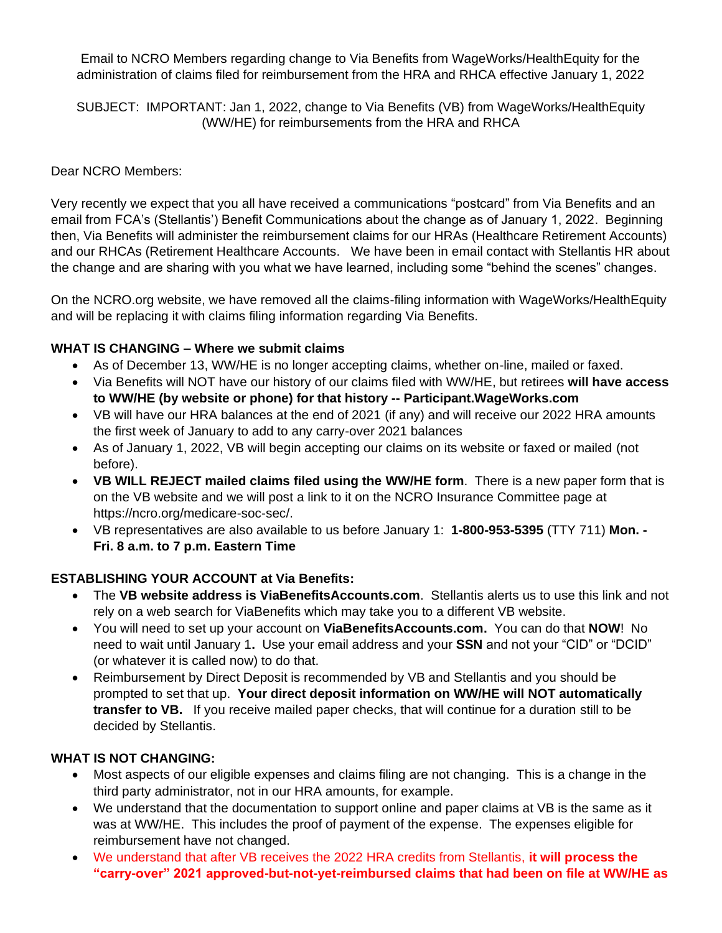Email to NCRO Members regarding change to Via Benefits from WageWorks/HealthEquity for the administration of claims filed for reimbursement from the HRA and RHCA effective January 1, 2022

SUBJECT: IMPORTANT: Jan 1, 2022, change to Via Benefits (VB) from WageWorks/HealthEquity (WW/HE) for reimbursements from the HRA and RHCA

#### Dear NCRO Members:

Very recently we expect that you all have received a communications "postcard" from Via Benefits and an email from FCA's (Stellantis') Benefit Communications about the change as of January 1, 2022. Beginning then, Via Benefits will administer the reimbursement claims for our HRAs (Healthcare Retirement Accounts) and our RHCAs (Retirement Healthcare Accounts. We have been in email contact with Stellantis HR about the change and are sharing with you what we have learned, including some "behind the scenes" changes.

On the NCRO.org website, we have removed all the claims-filing information with WageWorks/HealthEquity and will be replacing it with claims filing information regarding Via Benefits.

#### **WHAT IS CHANGING – Where we submit claims**

- As of December 13, WW/HE is no longer accepting claims, whether on-line, mailed or faxed.
- Via Benefits will NOT have our history of our claims filed with WW/HE, but retirees **will have access to WW/HE (by website or phone) for that history -- Participant.WageWorks.com**
- VB will have our HRA balances at the end of 2021 (if any) and will receive our 2022 HRA amounts the first week of January to add to any carry-over 2021 balances
- As of January 1, 2022, VB will begin accepting our claims on its website or faxed or mailed (not before).
- **VB WILL REJECT mailed claims filed using the WW/HE form**. There is a new paper form that is on the VB website and we will post a link to it on the NCRO Insurance Committee page at https://ncro.org/medicare-soc-sec/.
- VB representatives are also available to us before January 1: **1-800-953-5395** (TTY 711) **Mon. - Fri. 8 a.m. to 7 p.m. Eastern Time**

## **ESTABLISHING YOUR ACCOUNT at Via Benefits:**

- The **VB website address is ViaBenefitsAccounts.com**. Stellantis alerts us to use this link and not rely on a web search for ViaBenefits which may take you to a different VB website.
- You will need to set up your account on **ViaBenefitsAccounts.com.** You can do that **NOW**! No need to wait until January 1**.** Use your email address and your **SSN** and not your "CID" or "DCID" (or whatever it is called now) to do that.
- Reimbursement by Direct Deposit is recommended by VB and Stellantis and you should be prompted to set that up. **Your direct deposit information on WW/HE will NOT automatically transfer to VB.** If you receive mailed paper checks, that will continue for a duration still to be decided by Stellantis.

## **WHAT IS NOT CHANGING:**

- Most aspects of our eligible expenses and claims filing are not changing. This is a change in the third party administrator, not in our HRA amounts, for example.
- We understand that the documentation to support online and paper claims at VB is the same as it was at WW/HE. This includes the proof of payment of the expense. The expenses eligible for reimbursement have not changed.
- We understand that after VB receives the 2022 HRA credits from Stellantis, **it will process the "carry-over" 2021 approved-but-not-yet-reimbursed claims that had been on file at WW/HE as**